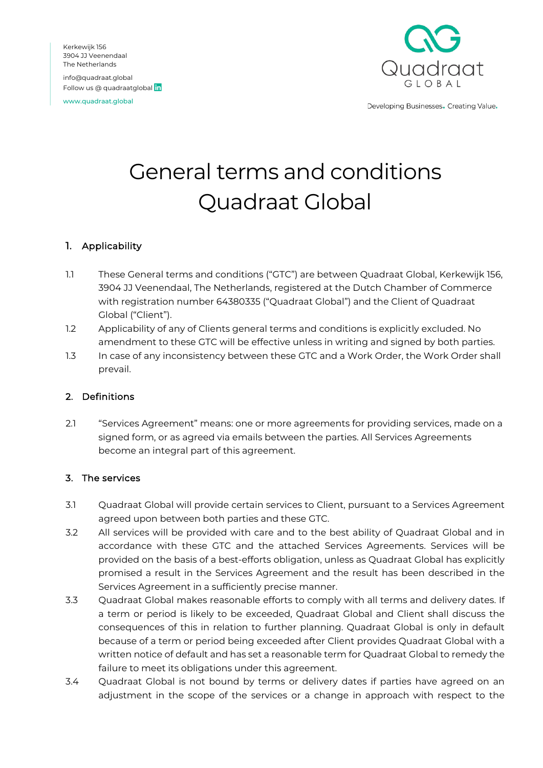Kerkewijk 156 3904 JJ Veenendaal The Netherlands info@quadraat.global Follow us @ quadraatglobal in

www.quadraat.global



Developing Businesses. Creating Value.

# General terms and conditions Quadraat Global

## 1. Applicability

- 1.1 These General terms and conditions ("GTC") are between Quadraat Global, Kerkewijk 156, 3904 JJ Veenendaal, The Netherlands, registered at the Dutch Chamber of Commerce with registration number 64380335 ("Quadraat Global") and the Client of Quadraat Global ("Client").
- 1.2 Applicability of any of Clients general terms and conditions is explicitly excluded. No amendment to these GTC will be effective unless in writing and signed by both parties.
- 1.3 In case of any inconsistency between these GTC and a Work Order, the Work Order shall prevail.

## 2. Definitions

2.1 "Services Agreement" means: one or more agreements for providing services, made on a signed form, or as agreed via emails between the parties. All Services Agreements become an integral part of this agreement.

## 3. The services

- 3.1 Quadraat Global will provide certain services to Client, pursuant to a Services Agreement agreed upon between both parties and these GTC.
- 3.2 All services will be provided with care and to the best ability of Quadraat Global and in accordance with these GTC and the attached Services Agreements. Services will be provided on the basis of a best-efforts obligation, unless as Quadraat Global has explicitly promised a result in the Services Agreement and the result has been described in the Services Agreement in a sufficiently precise manner.
- 3.3 Quadraat Global makes reasonable efforts to comply with all terms and delivery dates. If a term or period is likely to be exceeded, Quadraat Global and Client shall discuss the consequences of this in relation to further planning. Quadraat Global is only in default because of a term or period being exceeded after Client provides Quadraat Global with a written notice of default and has set a reasonable term for Quadraat Global to remedy the failure to meet its obligations under this agreement.
- 3.4 Quadraat Global is not bound by terms or delivery dates if parties have agreed on an adjustment in the scope of the services or a change in approach with respect to the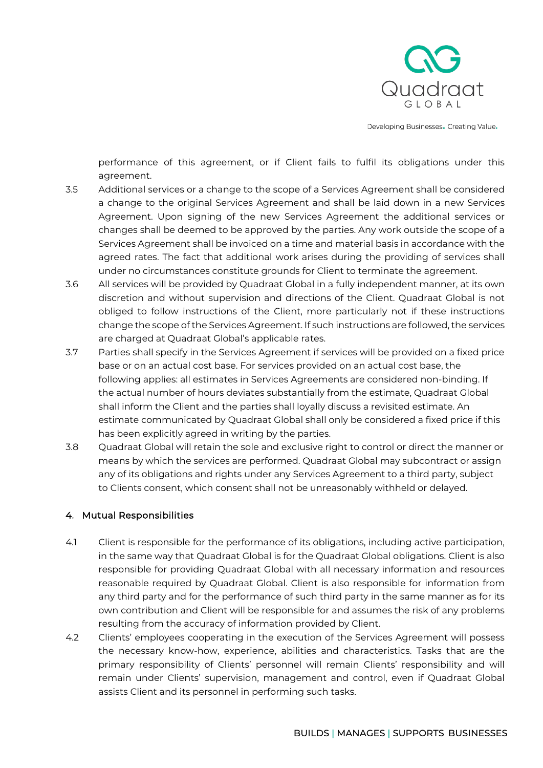

performance of this agreement, or if Client fails to fulfil its obligations under this agreement.

- 3.5 Additional services or a change to the scope of a Services Agreement shall be considered a change to the original Services Agreement and shall be laid down in a new Services Agreement. Upon signing of the new Services Agreement the additional services or changes shall be deemed to be approved by the parties. Any work outside the scope of a Services Agreement shall be invoiced on a time and material basis in accordance with the agreed rates. The fact that additional work arises during the providing of services shall under no circumstances constitute grounds for Client to terminate the agreement.
- 3.6 All services will be provided by Quadraat Global in a fully independent manner, at its own discretion and without supervision and directions of the Client. Quadraat Global is not obliged to follow instructions of the Client, more particularly not if these instructions change the scope of the Services Agreement. If such instructions are followed, the services are charged at Quadraat Global's applicable rates.
- 3.7 Parties shall specify in the Services Agreement if services will be provided on a fixed price base or on an actual cost base. For services provided on an actual cost base, the following applies: all estimates in Services Agreements are considered non-binding. If the actual number of hours deviates substantially from the estimate, Quadraat Global shall inform the Client and the parties shall loyally discuss a revisited estimate. An estimate communicated by Quadraat Global shall only be considered a fixed price if this has been explicitly agreed in writing by the parties.
- 3.8 Quadraat Global will retain the sole and exclusive right to control or direct the manner or means by which the services are performed. Quadraat Global may subcontract or assign any of its obligations and rights under any Services Agreement to a third party, subject to Clients consent, which consent shall not be unreasonably withheld or delayed.

## 4. Mutual Responsibilities

- 4.1 Client is responsible for the performance of its obligations, including active participation, in the same way that Quadraat Global is for the Quadraat Global obligations. Client is also responsible for providing Quadraat Global with all necessary information and resources reasonable required by Quadraat Global. Client is also responsible for information from any third party and for the performance of such third party in the same manner as for its own contribution and Client will be responsible for and assumes the risk of any problems resulting from the accuracy of information provided by Client.
- 4.2 Clients' employees cooperating in the execution of the Services Agreement will possess the necessary know-how, experience, abilities and characteristics. Tasks that are the primary responsibility of Clients' personnel will remain Clients' responsibility and will remain under Clients' supervision, management and control, even if Quadraat Global assists Client and its personnel in performing such tasks.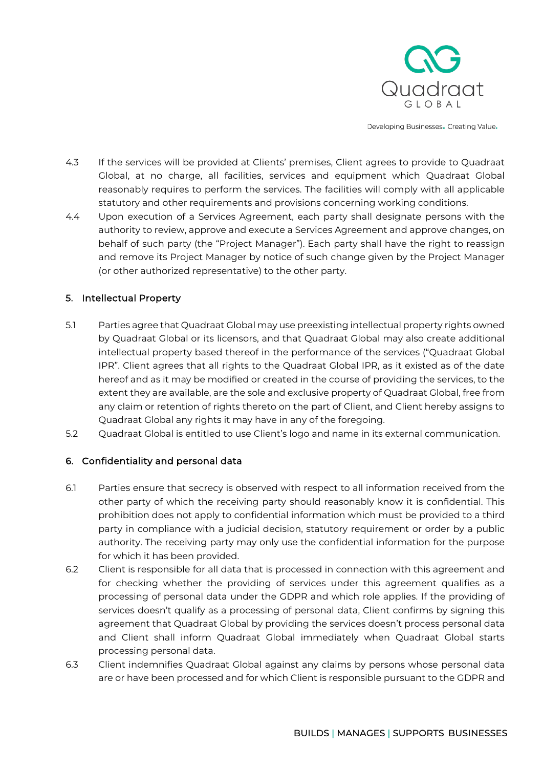

- 4.3 If the services will be provided at Clients' premises, Client agrees to provide to Quadraat Global, at no charge, all facilities, services and equipment which Quadraat Global reasonably requires to perform the services. The facilities will comply with all applicable statutory and other requirements and provisions concerning working conditions.
- 4.4 Upon execution of a Services Agreement, each party shall designate persons with the authority to review, approve and execute a Services Agreement and approve changes, on behalf of such party (the "Project Manager"). Each party shall have the right to reassign and remove its Project Manager by notice of such change given by the Project Manager (or other authorized representative) to the other party.

## 5. Intellectual Property

- 5.1 Parties agree that Quadraat Global may use preexisting intellectual property rights owned by Quadraat Global or its licensors, and that Quadraat Global may also create additional intellectual property based thereof in the performance of the services ("Quadraat Global IPR". Client agrees that all rights to the Quadraat Global IPR, as it existed as of the date hereof and as it may be modified or created in the course of providing the services, to the extent they are available, are the sole and exclusive property of Quadraat Global, free from any claim or retention of rights thereto on the part of Client, and Client hereby assigns to Quadraat Global any rights it may have in any of the foregoing.
- 5.2 Quadraat Global is entitled to use Client's logo and name in its external communication.

## 6. Confidentiality and personal data

- 6.1 Parties ensure that secrecy is observed with respect to all information received from the other party of which the receiving party should reasonably know it is confidential. This prohibition does not apply to confidential information which must be provided to a third party in compliance with a judicial decision, statutory requirement or order by a public authority. The receiving party may only use the confidential information for the purpose for which it has been provided.
- 6.2 Client is responsible for all data that is processed in connection with this agreement and for checking whether the providing of services under this agreement qualifies as a processing of personal data under the GDPR and which role applies. If the providing of services doesn't qualify as a processing of personal data, Client confirms by signing this agreement that Quadraat Global by providing the services doesn't process personal data and Client shall inform Quadraat Global immediately when Quadraat Global starts processing personal data.
- 6.3 Client indemnifies Quadraat Global against any claims by persons whose personal data are or have been processed and for which Client is responsible pursuant to the GDPR and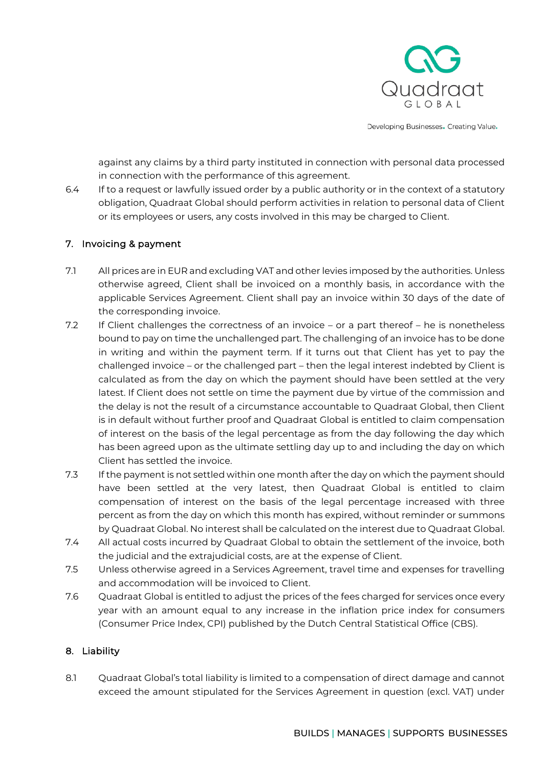

against any claims by a third party instituted in connection with personal data processed in connection with the performance of this agreement.

6.4 If to a request or lawfully issued order by a public authority or in the context of a statutory obligation, Quadraat Global should perform activities in relation to personal data of Client or its employees or users, any costs involved in this may be charged to Client.

## 7. Invoicing & payment

- 7.1 All prices are in EUR and excluding VAT and other levies imposed by the authorities. Unless otherwise agreed, Client shall be invoiced on a monthly basis, in accordance with the applicable Services Agreement. Client shall pay an invoice within 30 days of the date of the corresponding invoice.
- 7.2 If Client challenges the correctness of an invoice or a part thereof he is nonetheless bound to pay on time the unchallenged part. The challenging of an invoice has to be done in writing and within the payment term. If it turns out that Client has yet to pay the challenged invoice – or the challenged part – then the legal interest indebted by Client is calculated as from the day on which the payment should have been settled at the very latest. If Client does not settle on time the payment due by virtue of the commission and the delay is not the result of a circumstance accountable to Quadraat Global, then Client is in default without further proof and Quadraat Global is entitled to claim compensation of interest on the basis of the legal percentage as from the day following the day which has been agreed upon as the ultimate settling day up to and including the day on which Client has settled the invoice.
- 7.3 If the payment is not settled within one month after the day on which the payment should have been settled at the very latest, then Quadraat Global is entitled to claim compensation of interest on the basis of the legal percentage increased with three percent as from the day on which this month has expired, without reminder or summons by Quadraat Global. No interest shall be calculated on the interest due to Quadraat Global.
- 7.4 All actual costs incurred by Quadraat Global to obtain the settlement of the invoice, both the judicial and the extrajudicial costs, are at the expense of Client.
- 7.5 Unless otherwise agreed in a Services Agreement, travel time and expenses for travelling and accommodation will be invoiced to Client.
- 7.6 Quadraat Global is entitled to adjust the prices of the fees charged for services once every year with an amount equal to any increase in the inflation price index for consumers (Consumer Price Index, CPI) published by the Dutch Central Statistical Office (CBS).

## 8. Liability

8.1 Quadraat Global's total liability is limited to a compensation of direct damage and cannot exceed the amount stipulated for the Services Agreement in question (excl. VAT) under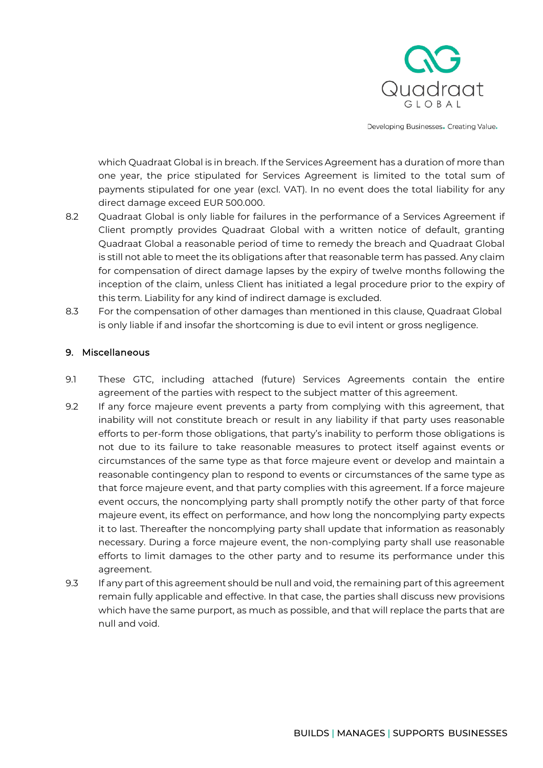

which Quadraat Global is in breach. If the Services Agreement has a duration of more than one year, the price stipulated for Services Agreement is limited to the total sum of payments stipulated for one year (excl. VAT). In no event does the total liability for any direct damage exceed EUR 500.000.

- 8.2 Cuadraat Global is only liable for failures in the performance of a Services Agreement if Client promptly provides Quadraat Global with a written notice of default, granting Quadraat Global a reasonable period of time to remedy the breach and Quadraat Global is still not able to meet the its obligations after that reasonable term has passed. Any claim for compensation of direct damage lapses by the expiry of twelve months following the inception of the claim, unless Client has initiated a legal procedure prior to the expiry of this term. Liability for any kind of indirect damage is excluded.
- 8.3 For the compensation of other damages than mentioned in this clause, Quadraat Global is only liable if and insofar the shortcoming is due to evil intent or gross negligence.

## 9. Miscellaneous

- 9.1 These GTC, including attached (future) Services Agreements contain the entire agreement of the parties with respect to the subject matter of this agreement.
- 9.2 If any force majeure event prevents a party from complying with this agreement, that inability will not constitute breach or result in any liability if that party uses reasonable efforts to per-form those obligations, that party's inability to perform those obligations is not due to its failure to take reasonable measures to protect itself against events or circumstances of the same type as that force majeure event or develop and maintain a reasonable contingency plan to respond to events or circumstances of the same type as that force majeure event, and that party complies with this agreement. If a force majeure event occurs, the noncomplying party shall promptly notify the other party of that force majeure event, its effect on performance, and how long the noncomplying party expects it to last. Thereafter the noncomplying party shall update that information as reasonably necessary. During a force majeure event, the non-complying party shall use reasonable efforts to limit damages to the other party and to resume its performance under this agreement.
- 9.3 If any part of this agreement should be null and void, the remaining part of this agreement remain fully applicable and effective. In that case, the parties shall discuss new provisions which have the same purport, as much as possible, and that will replace the parts that are null and void.